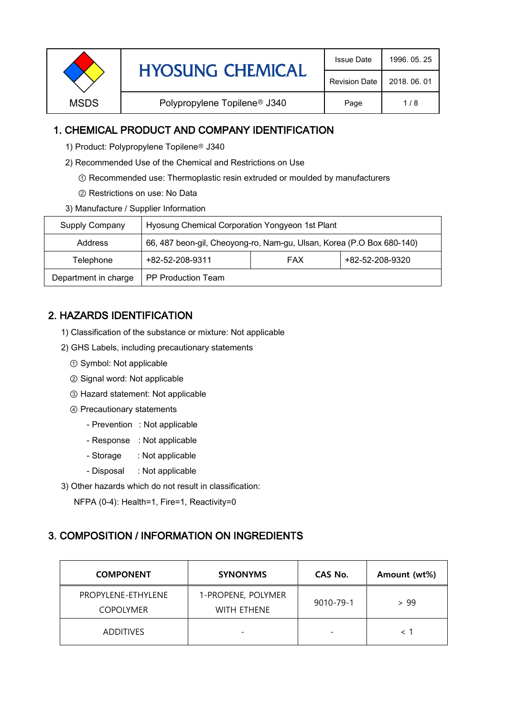| <b>Revision Date</b> |             | <b>HYOSUNG CHEMICAL</b>                  | <b>Issue Date</b> | 1996, 05, 25 |
|----------------------|-------------|------------------------------------------|-------------------|--------------|
|                      |             |                                          |                   | 2018, 06, 01 |
|                      | <b>MSDS</b> | Polypropylene Topilene <sup>®</sup> J340 | Page              | 1/8          |

### 1. CHEMICAL PRODUCT AND COMPANY IDENTIFICATION

- 1) Product: Polypropylene Topilene<sup>®</sup> J340
- 2) Recommended Use of the Chemical and Restrictions on Use
	- ① Recommended use: Thermoplastic resin extruded or moulded by manufacturers
	- ② Restrictions on use: No Data
- 3) Manufacture / Supplier Information

| Supply Company       | Hyosung Chemical Corporation Yongyeon 1st Plant                       |            |                 |  |
|----------------------|-----------------------------------------------------------------------|------------|-----------------|--|
| Address              | 66, 487 beon-gil, Cheoyong-ro, Nam-gu, Ulsan, Korea (P.O Box 680-140) |            |                 |  |
| Telephone            | +82-52-208-9311                                                       | <b>FAX</b> | +82-52-208-9320 |  |
| Department in charge | <b>PP Production Team</b>                                             |            |                 |  |

# 2. HAZARDS IDENTIFICATION

- 1) Classification of the substance or mixture: Not applicable
- 2) GHS Labels, including precautionary statements
	- ① Symbol: Not applicable
	- ② Signal word: Not applicable
	- ③ Hazard statement: Not applicable
	- ④ Precautionary statements
		- Prevention : Not applicable
		- Response : Not applicable
		- Storage : Not applicable
		- Disposal : Not applicable
- 3) Other hazards which do not result in classification:

NFPA (0-4): Health=1, Fire=1, Reactivity=0

#### 3. COMPOSITION / INFORMATION ON INGREDIENTS

| <b>COMPONENT</b>                       | <b>SYNONYMS</b>                          | CAS No.                  | Amount (wt%) |
|----------------------------------------|------------------------------------------|--------------------------|--------------|
| PROPYLENE-ETHYLENE<br><b>COPOLYMER</b> | 1-PROPENE, POLYMER<br><b>WITH FTHENE</b> | 9010-79-1                | > 99         |
| <b>ADDITIVES</b>                       | $\overline{\phantom{0}}$                 | $\overline{\phantom{0}}$ |              |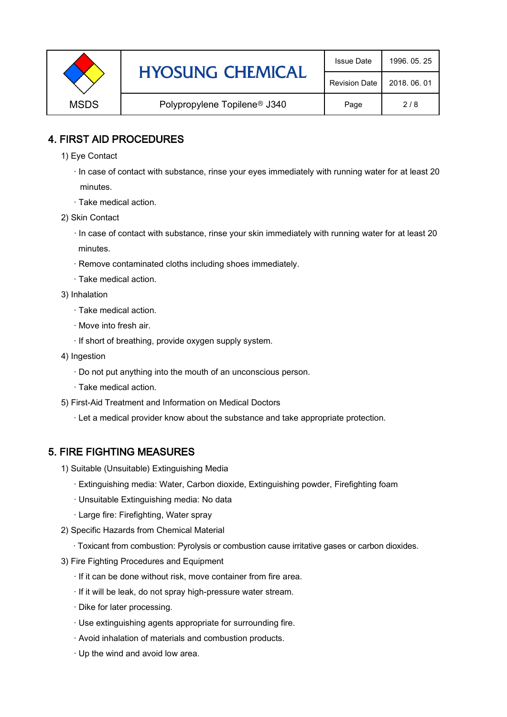|             | <b>HYOSUNG CHEMICAL</b>                  | <b>Issue Date</b> | 1996, 05, 25 |
|-------------|------------------------------------------|-------------------|--------------|
|             | <b>Revision Date</b>                     | 2018, 06, 01      |              |
| <b>MSDS</b> | Polypropylene Topilene <sup>®</sup> J340 | Page              | 2/8          |

### 4. FIRST AID PROCEDURES

- 1) Eye Contact
	- · In case of contact with substance, rinse your eyes immediately with running water for at least 20 minutes.
	- · Take medical action.
- 2) Skin Contact
	- · In case of contact with substance, rinse your skin immediately with running water for at least 20 minutes.
	- · Remove contaminated cloths including shoes immediately.
	- · Take medical action.
- 3) Inhalation
	- · Take medical action.
	- · Move into fresh air.
	- · If short of breathing, provide oxygen supply system.
- 4) Ingestion
	- · Do not put anything into the mouth of an unconscious person.
	- · Take medical action.
- 5) First-Aid Treatment and Information on Medical Doctors
	- · Let a medical provider know about the substance and take appropriate protection.

# 5. FIRE FIGHTING MEASURES

- 1) Suitable (Unsuitable) Extinguishing Media
	- · Extinguishing media: Water, Carbon dioxide, Extinguishing powder, Firefighting foam
	- · Unsuitable Extinguishing media: No data
	- · Large fire: Firefighting, Water spray
- 2) Specific Hazards from Chemical Material
	- · Toxicant from combustion: Pyrolysis or combustion cause irritative gases or carbon dioxides.
- 3) Fire Fighting Procedures and Equipment
	- · If it can be done without risk, move container from fire area.
	- · If it will be leak, do not spray high-pressure water stream.
	- · Dike for later processing.
	- · Use extinguishing agents appropriate for surrounding fire.
	- · Avoid inhalation of materials and combustion products.
	- · Up the wind and avoid low area.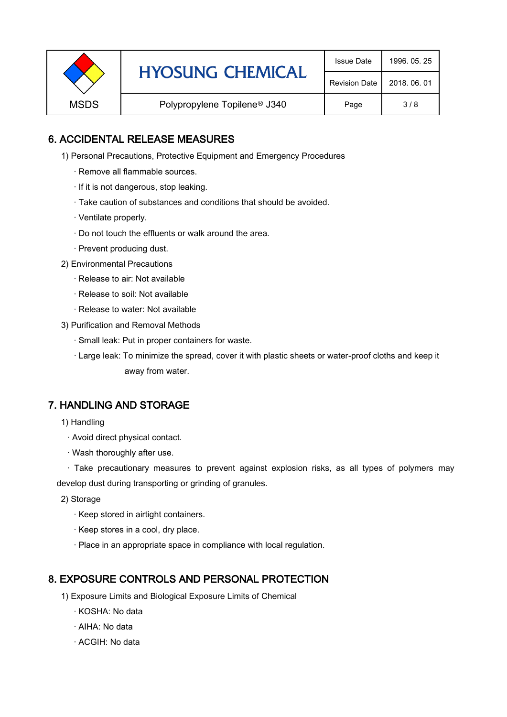|             | <b>HYOSUNG CHEMICAL</b>                  |              | 1996, 05, 25 |
|-------------|------------------------------------------|--------------|--------------|
|             | <b>Revision Date</b>                     | 2018, 06, 01 |              |
| <b>MSDS</b> | Polypropylene Topilene <sup>®</sup> J340 | Page         | 3/8          |

### 6. ACCIDENTAL RELEASE MEASURES

- 1) Personal Precautions, Protective Equipment and Emergency Procedures
	- · Remove all flammable sources.
	- · If it is not dangerous, stop leaking.
	- · Take caution of substances and conditions that should be avoided.
	- · Ventilate properly.
	- · Do not touch the effluents or walk around the area.
	- · Prevent producing dust.
- 2) Environmental Precautions
	- · Release to air: Not available
	- · Release to soil: Not available
	- · Release to water: Not available
- 3) Purification and Removal Methods
	- · Small leak: Put in proper containers for waste.
	- ,· Large leak: To minimize the spread, cover it with plastic sheets or water-proof cloths and keep it away from water.

#### 7. HANDLING AND STORAGE

- 1) Handling
	- · Avoid direct physical contact.
	- · Wash thoroughly after use.

· Take precautionary measures to prevent against explosion risks, as all types of polymers may develop dust during transporting or grinding of granules.

- 2) Storage
	- · Keep stored in airtight containers.
	- · Keep stores in a cool, dry place.
	- · Place in an appropriate space in compliance with local regulation.

#### 8. EXPOSURE CONTROLS AND PERSONAL PROTECTION

- 1) Exposure Limits and Biological Exposure Limits of Chemical
	- · KOSHA: No data
	- · AIHA: No data
	- · ACGIH: No data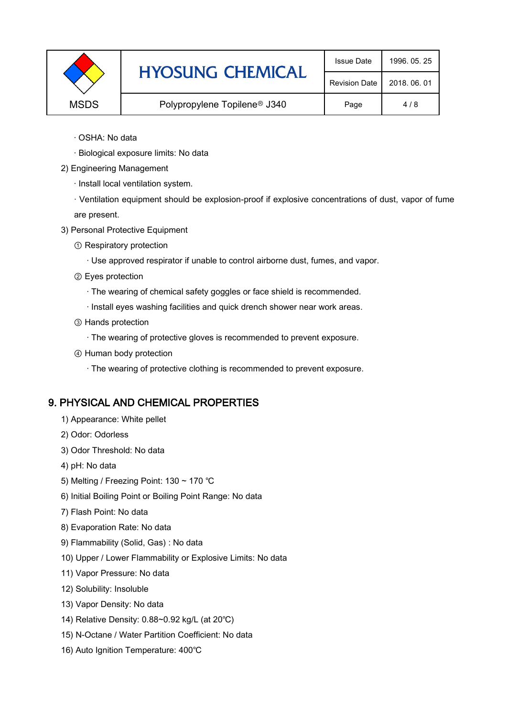|             | <b>HYOSUNG CHEMICAL</b>                  | <b>Issue Date</b>    | 1996, 05, 25 |
|-------------|------------------------------------------|----------------------|--------------|
|             |                                          | <b>Revision Date</b> | 2018, 06, 01 |
| <b>MSDS</b> | Polypropylene Topilene <sup>®</sup> J340 | Page                 | 4/8          |

- · OSHA: No data
- · Biological exposure limits: No data
- 2) Engineering Management
	- · Install local ventilation system.

· Ventilation equipment should be explosion-proof if explosive concentrations of dust, vapor of fume are present.

- 3) Personal Protective Equipment
	- ① Respiratory protection
		- · Use approved respirator if unable to control airborne dust, fumes, and vapor.
	- ② Eyes protection
		- · The wearing of chemical safety goggles or face shield is recommended.
		- · Install eyes washing facilities and quick drench shower near work areas.
	- ③ Hands protection
		- · The wearing of protective gloves is recommended to prevent exposure.
	- ④ Human body protection
		- · The wearing of protective clothing is recommended to prevent exposure.

# 9. PHYSICAL AND CHEMICAL PROPERTIES

- 1) Appearance: White pellet
- 2) Odor: Odorless
- 3) Odor Threshold: No data
- 4) pH: No data
- 5) Melting / Freezing Point: 130 ~ 170 ℃
- 6) Initial Boiling Point or Boiling Point Range: No data
- 7) Flash Point: No data
- 8) Evaporation Rate: No data
- 9) Flammability (Solid, Gas) : No data
- 10) Upper / Lower Flammability or Explosive Limits: No data
- 11) Vapor Pressure: No data
- 12) Solubility: Insoluble
- 13) Vapor Density: No data
- 14) Relative Density: 0.88~0.92 kg/L (at 20℃)
- 15) N-Octane / Water Partition Coefficient: No data
- 16) Auto Ignition Temperature: 400℃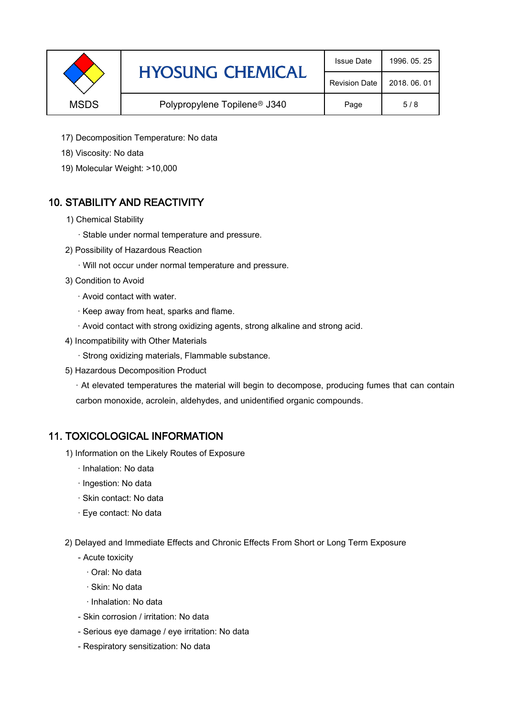|             | <b>HYOSUNG CHEMICAL</b>                  | <b>Issue Date</b> | 1996, 05, 25 |
|-------------|------------------------------------------|-------------------|--------------|
|             | <b>Revision Date</b>                     | 2018, 06, 01      |              |
| <b>MSDS</b> | Polypropylene Topilene <sup>®</sup> J340 | Page              | 5/8          |

- 17) Decomposition Temperature: No data
- 18) Viscosity: No data
- 19) Molecular Weight: >10,000

# 10. STABILITY AND REACTIVITY

- 1) Chemical Stability
	- · Stable under normal temperature and pressure.
- 2) Possibility of Hazardous Reaction
	- · Will not occur under normal temperature and pressure.
- 3) Condition to Avoid
	- · Avoid contact with water.
	- · Keep away from heat, sparks and flame.
	- · Avoid contact with strong oxidizing agents, strong alkaline and strong acid.
- 4) Incompatibility with Other Materials
	- · Strong oxidizing materials, Flammable substance.
- 5) Hazardous Decomposition Product

· At elevated temperatures the material will begin to decompose, producing fumes that can contain carbon monoxide, acrolein, aldehydes, and unidentified organic compounds.

#### 11. TOXICOLOGICAL INFORMATION

- 1) Information on the Likely Routes of Exposure
	- · Inhalation: No data
	- · Ingestion: No data
	- · Skin contact: No data
	- · Eye contact: No data
- 2) Delayed and Immediate Effects and Chronic Effects From Short or Long Term Exposure
	- Acute toxicity
		- · Oral: No data
		- · Skin: No data
		- · Inhalation: No data
	- Skin corrosion / irritation: No data
	- Serious eye damage / eye irritation: No data
	- Respiratory sensitization: No data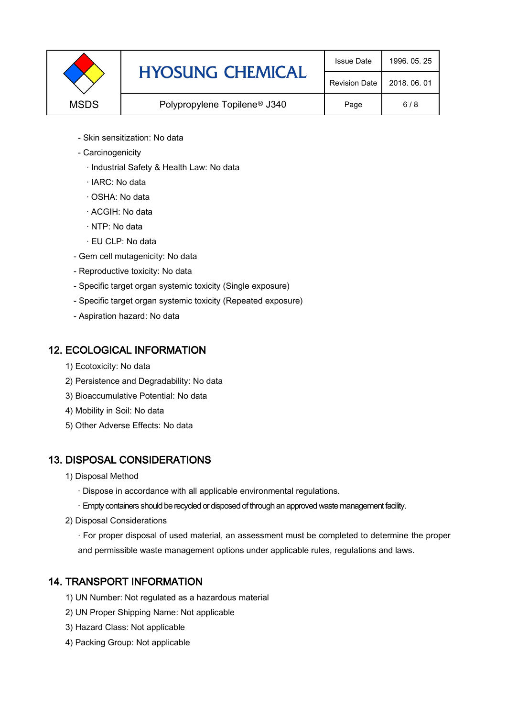|             | <b>HYOSUNG CHEMICAL</b>                  | <b>Issue Date</b> | 1996, 05, 25 |
|-------------|------------------------------------------|-------------------|--------------|
|             | <b>Revision Date</b>                     | 2018, 06, 01      |              |
| <b>MSDS</b> | Polypropylene Topilene <sup>®</sup> J340 | Page              | 6/8          |

- Skin sensitization: No data
- Carcinogenicity
	- · Industrial Safety & Health Law: No data
	- · IARC: No data
	- · OSHA: No data
	- · ACGIH: No data
	- · NTP: No data
	- · EU CLP: No data
- Gem cell mutagenicity: No data
- Reproductive toxicity: No data
- Specific target organ systemic toxicity (Single exposure)
- Specific target organ systemic toxicity (Repeated exposure)
- Aspiration hazard: No data

#### 12. ECOLOGICAL INFORMATION

- 1) Ecotoxicity: No data
- 2) Persistence and Degradability: No data
- 3) Bioaccumulative Potential: No data
- 4) Mobility in Soil: No data
- 5) Other Adverse Effects: No data

# 13. DISPOSAL CONSIDERATIONS

- 1) Disposal Method
	- · Dispose in accordance with all applicable environmental regulations.
	- · Empty containers should be recycled or disposed of through an approved waste management facility.
- 2) Disposal Considerations
	- · For proper disposal of used material, an assessment must be completed to determine the proper and permissible waste management options under applicable rules, regulations and laws.

# 14. TRANSPORT INFORMATION

- 1) UN Number: Not regulated as a hazardous material
- 2) UN Proper Shipping Name: Not applicable
- 3) Hazard Class: Not applicable
- 4) Packing Group: Not applicable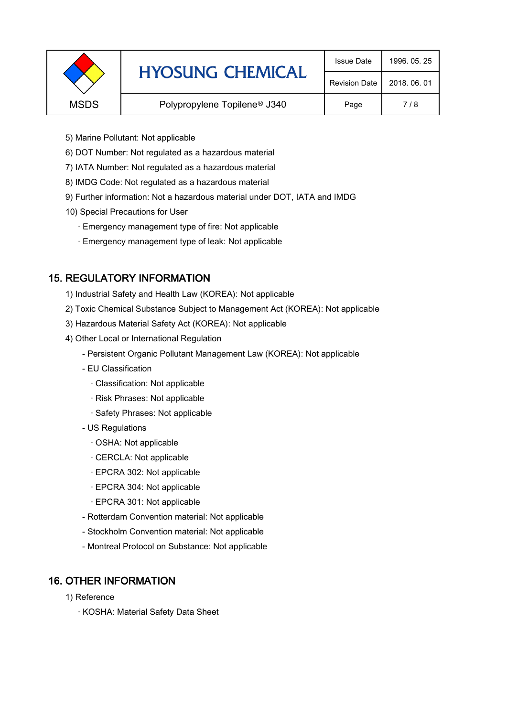|             | <b>HYOSUNG CHEMICAL</b>                  | <b>Issue Date</b> | 1996, 05, 25 |
|-------------|------------------------------------------|-------------------|--------------|
|             | <b>Revision Date</b>                     | 2018, 06, 01      |              |
| <b>MSDS</b> | Polypropylene Topilene <sup>®</sup> J340 | Page              | 7/8          |
|             |                                          |                   |              |

- 5) Marine Pollutant: Not applicable
- 6) DOT Number: Not regulated as a hazardous material
- 7) IATA Number: Not regulated as a hazardous material
- 8) IMDG Code: Not regulated as a hazardous material
- 9) Further information: Not a hazardous material under DOT, IATA and IMDG
- 10) Special Precautions for User
	- · Emergency management type of fire: Not applicable
	- · Emergency management type of leak: Not applicable

# 15. REGULATORY INFORMATION

- 1) Industrial Safety and Health Law (KOREA): Not applicable
- 2) Toxic Chemical Substance Subject to Management Act (KOREA): Not applicable
- 3) Hazardous Material Safety Act (KOREA): Not applicable
- 4) Other Local or International Regulation
	- Persistent Organic Pollutant Management Law (KOREA): Not applicable
	- EU Classification
		- · Classification: Not applicable
		- · Risk Phrases: Not applicable
		- · Safety Phrases: Not applicable
	- US Regulations
		- · OSHA: Not applicable
		- · CERCLA: Not applicable
		- · EPCRA 302: Not applicable
		- · EPCRA 304: Not applicable
		- · EPCRA 301: Not applicable
	- Rotterdam Convention material: Not applicable
	- Stockholm Convention material: Not applicable
	- Montreal Protocol on Substance: Not applicable

# 16. OTHER INFORMATION

- 1) Reference
	- · KOSHA: Material Safety Data Sheet